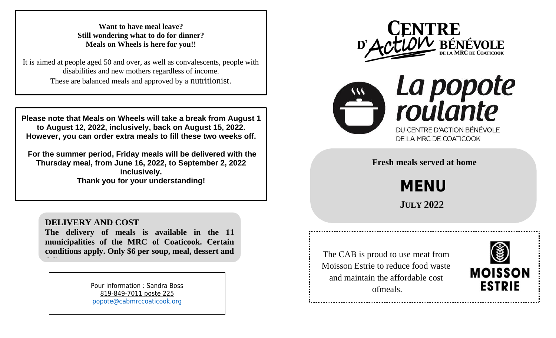**Want to have meal leave? Still wondering what to do for dinner? Meals on Wheels is here for you!!**

It is aimed at people aged 50 and over, as well as convalescents, people with disabilities and new mothers regardless of income. These are balanced meals and approved by a nutritionist.

**Please note that Meals on Wheels will take a break from August 1 to August 12, 2022, inclusively, back on August 15, 2022. However, you can order extra meals to fill these two weeks off.**

 **Thursday meal, from June 16, 2022, to September 2, 2022 For the summer period, Friday meals will be delivered with the inclusively. Thank you for your understanding!**

## **DELIVERY AND COST**

**The delivery of meals is available in the 11 municipalities of the MRC of Coaticook. Certain conditions apply. Only \$6 per soup, meal, dessert and delivery.**

> Pour information : Sandra Boss 819-849-7011 poste 225 [popote@cabmrccoaticook.org](mailto:popote@cabmrccoaticook.org)





**Fresh meals served at home**

**MENU**

 **JULY 2022**

The CAB is proud to use meat from Moisson Estrie to reduce food waste and maintain the affordable cost ofmeals.